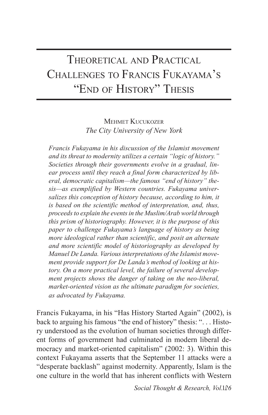## THEORETICAL AND PRACTICAL CHALLENGES TO FRANCIS FUKAYAMA'S "END OF HISTORY" THESIS

MEHMET KUCUKOZER *The City University of New York*

*Francis Fukayama in his discussion of the Islamist movement and its threat to modernity utilizes a certain "logic of history." Societies through their governments evolve in a gradual, linear process until they reach a final form characterized by liberal, democratic capitalism—the famous "end of history" thesis—as exemplified by Western countries. Fukayama universalizes this conception of history because, according to him, it is based on the scientific method of interpretation, and, thus, proceeds to explain the events in the Muslim/Arab world through this prism of historiography. However, it is the purpose of this paper to challenge Fukayama's language of history as being more ideological rather than scientific, and posit an alternate and more scientific model of historiography as developed by Manuel De Landa. Various interpretations of the Islamist movement provide support for De Landa's method of looking at history. On a more practical level, the failure of several development projects shows the danger of taking on the neo-liberal, market-oriented vision as the ultimate paradigm for societies, as advocated by Fukayama.*

Francis Fukayama, in his "Has History Started Again" (2002), is back to arguing his famous "the end of history" thesis: ". . . History understood as the evolution of human societies through different forms of government had culminated in modern liberal democracy and market-oriented capitalism" (2002: 3). Within this context Fukayama asserts that the September 11 attacks were a "desperate backlash" against modernity. Apparently, Islam is the one culture in the world that has inherent conflicts with Western

Social Thought & Research, Vol.126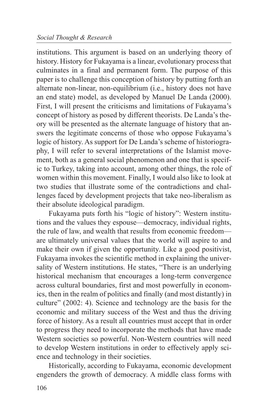institutions. This argument is based on an underlying theory of history. History for Fukayama is a linear, evolutionary process that culminates in a final and permanent form. The purpose of this paper is to challenge this conception of history by putting forth an alternate non-linear, non-equilibrium (i.e., history does not have an end state) model, as developed by Manuel De Landa (2000). First, I will present the criticisms and limitations of Fukayama's concept of history as posed by different theorists. De Landa's theory will be presented as the alternate language of history that answers the legitimate concerns of those who oppose Fukayama's logic of history. As support for De Landa's scheme of historiography, I will refer to several interpretations of the Islamist movement, both as a general social phenomenon and one that is specific to Turkey, taking into account, among other things, the role of women within this movement. Finally, I would also like to look at two studies that illustrate some of the contradictions and challenges faced by development projects that take neo-liberalism as their absolute ideological paradigm.

Fukayama puts forth his "logic of history": Western institutions and the values they espouse—democracy, individual rights, the rule of law, and wealth that results from economic freedom are ultimately universal values that the world will aspire to and make their own if given the opportunity. Like a good positivist, Fukayama invokes the scientific method in explaining the universality of Western institutions. He states, "There is an underlying historical mechanism that encourages a long-term convergence across cultural boundaries, first and most powerfully in economics, then in the realm of politics and finally (and most distantly) in culture" (2002: 4). Science and technology are the basis for the economic and military success of the West and thus the driving force of history. As a result all countries must accept that in order to progress they need to incorporate the methods that have made Western societies so powerful. Non-Western countries will need to develop Western institutions in order to effectively apply science and technology in their societies.

Historically, according to Fukayama, economic development engenders the growth of democracy. A middle class forms with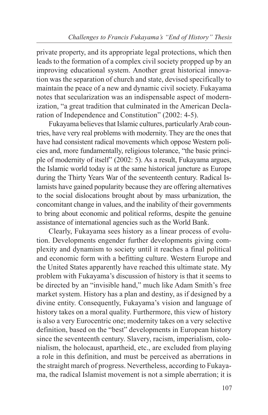private property, and its appropriate legal protections, which then leads to the formation of a complex civil society propped up by an improving educational system. Another great historical innovation was the separation of church and state, devised specifically to maintain the peace of a new and dynamic civil society. Fukayama notes that secularization was an indispensable aspect of modernization, "a great tradition that culminated in the American Declaration of Independence and Constitution" (2002: 4-5).

Fukayama believes that Islamic cultures, particularly Arab countries, have very real problems with modernity. They are the ones that have had consistent radical movements which oppose Western policies and, more fundamentally, religious tolerance, "the basic principle of modernity of itself" (2002: 5). As a result, Fukayama argues, the Islamic world today is at the same historical juncture as Europe during the Thirty Years War of the seventeenth century. Radical Islamists have gained popularity because they are offering alternatives to the social dislocations brought about by mass urbanization, the concomitant change in values, and the inability of their governments to bring about economic and political reforms, despite the genuine assistance of international agencies such as the World Bank.

Clearly, Fukayama sees history as a linear process of evolution. Developments engender further developments giving complexity and dynamism to society until it reaches a final political and economic form with a befitting culture. Western Europe and the United States apparently have reached this ultimate state. My problem with Fukayama's discussion of history is that it seems to be directed by an "invisible hand," much like Adam Smith's free market system. History has a plan and destiny, as if designed by a divine entity. Consequently, Fukayama's vision and language of history takes on a moral quality. Furthermore, this view of history is also a very Eurocentric one; modernity takes on a very selective definition, based on the "best" developments in European history since the seventeenth century. Slavery, racism, imperialism, colonialism, the holocaust, apartheid, etc., are excluded from playing a role in this definition, and must be perceived as aberrations in the straight march of progress. Nevertheless, according to Fukayama, the radical Islamist movement is not a simple aberration; it is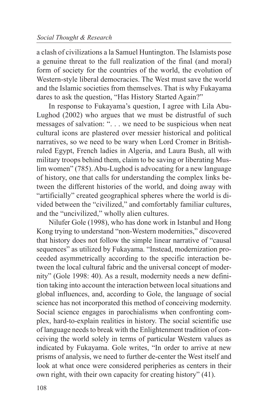a clash of civilizations a la Samuel Huntington. The Islamists pose a genuine threat to the full realization of the final (and moral) form of society for the countries of the world, the evolution of Western-style liberal democracies. The West must save the world and the Islamic societies from themselves. That is why Fukayama dares to ask the question, "Has History Started Again?"

In response to Fukayama's question, I agree with Lila Abu-Lughod (2002) who argues that we must be distrustful of such messages of salvation: ". . . we need to be suspicious when neat cultural icons are plastered over messier historical and political narratives, so we need to be wary when Lord Cromer in Britishruled Egypt, French ladies in Algeria, and Laura Bush, all with military troops behind them, claim to be saving or liberating Muslim women" (785). Abu-Lughod is advocating for a new language of history, one that calls for understanding the complex links between the different histories of the world, and doing away with "artificially" created geographical spheres where the world is divided between the "civilized," and comfortably familiar cultures, and the "uncivilized," wholly alien cultures.

Nilufer Gole (1998), who has done work in Istanbul and Hong Kong trying to understand "non-Western modernities," discovered that history does not follow the simple linear narrative of "causal sequences" as utilized by Fukayama. "Instead, modernization proceeded asymmetrically according to the specific interaction between the local cultural fabric and the universal concept of modernity" (Gole 1998: 40). As a result, modernity needs a new definition taking into account the interaction between local situations and global influences, and, according to Gole, the language of social science has not incorporated this method of conceiving modernity. Social science engages in parochialisms when confronting complex, hard-to-explain realities in history. The social scientific use of language needs to break with the Enlightenment tradition of conceiving the world solely in terms of particular Western values as indicated by Fukayama. Gole writes, "In order to arrive at new prisms of analysis, we need to further de-center the West itself and look at what once were considered peripheries as centers in their own right, with their own capacity for creating history" (41).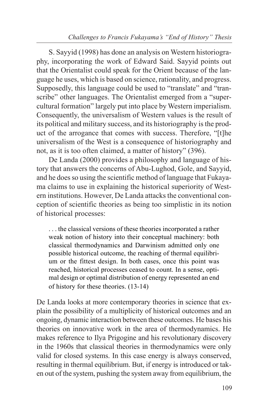S. Sayyid (1998) has done an analysis on Western historiography, incorporating the work of Edward Said. Sayyid points out that the Orientalist could speak for the Orient because of the language he uses, which is based on science, rationality, and progress. Supposedly, this language could be used to "translate" and "transcribe" other languages. The Orientalist emerged from a "supercultural formation" largely put into place by Western imperialism. Consequently, the universalism of Western values is the result of its political and military success, and its historiography is the product of the arrogance that comes with success. Therefore, "[t]he universalism of the West is a consequence of historiography and not, as it is too often claimed, a matter of history" (396).

De Landa (2000) provides a philosophy and language of history that answers the concerns of Abu-Lughod, Gole, and Sayyid, and he does so using the scientific method of language that Fukayama claims to use in explaining the historical superiority of Western institutions. However, De Landa attacks the conventional conception of scientific theories as being too simplistic in its notion of historical processes:

. . . the classical versions of these theories incorporated a rather weak notion of history into their conceptual machinery: both classical thermodynamics and Darwinism admitted only one possible historical outcome, the reaching of thermal equilibrium or the fittest design. In both cases, once this point was reached, historical processes ceased to count. In a sense, optimal design or optimal distribution of energy represented an end of history for these theories. (13-14)

De Landa looks at more contemporary theories in science that explain the possibility of a multiplicity of historical outcomes and an ongoing, dynamic interaction between these outcomes. He bases his theories on innovative work in the area of thermodynamics. He makes reference to Ilya Prigogine and his revolutionary discovery in the 1960s that classical theories in thermodynamics were only valid for closed systems. In this case energy is always conserved, resulting in thermal equilibrium. But, if energy is introduced or taken out of the system, pushing the system away from equilibrium, the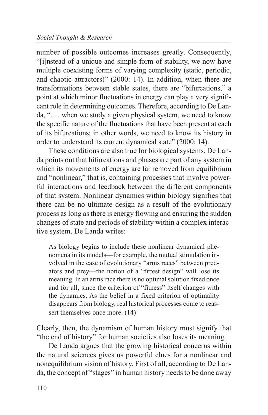number of possible outcomes increases greatly. Consequently, "[i]nstead of a unique and simple form of stability, we now have multiple coexisting forms of varying complexity (static, periodic, and chaotic attractors)" (2000: 14). In addition, when there are transformations between stable states, there are "bifurcations," a point at which minor fluctuations in energy can play a very significant role in determining outcomes. Therefore, according to De Landa, ". . . when we study a given physical system, we need to know the specific nature of the fluctuations that have been present at each of its bifurcations; in other words, we need to know its history in order to understand its current dynamical state" (2000: 14).

These conditions are also true for biological systems. De Landa points out that bifurcations and phases are part of any system in which its movements of energy are far removed from equilibrium and "nonlinear," that is, containing processes that involve powerful interactions and feedback between the different components of that system. Nonlinear dynamics within biology signifies that there can be no ultimate design as a result of the evolutionary process as long as there is energy flowing and ensuring the sudden changes of state and periods of stability within a complex interactive system. De Landa writes:

As biology begins to include these nonlinear dynamical phenomena in its models—for example, the mutual stimulation involved in the case of evolutionary "arms races" between predators and prey—the notion of a "fittest design" will lose its meaning. In an arms race there is no optimal solution fixed once and for all, since the criterion of "fitness" itself changes with the dynamics. As the belief in a fixed criterion of optimality disappears from biology, real historical processes come to reassert themselves once more. (14)

Clearly, then, the dynamism of human history must signify that "the end of history" for human societies also loses its meaning.

De Landa argues that the growing historical concerns within the natural sciences gives us powerful clues for a nonlinear and nonequilibrium vision of history. First of all, according to De Landa, the concept of "stages" in human history needs to be done away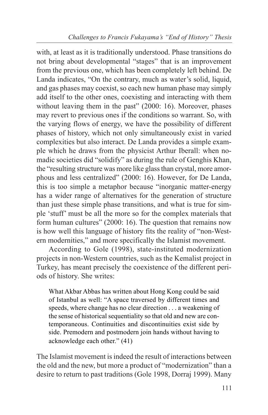with, at least as it is traditionally understood. Phase transitions do not bring about developmental "stages" that is an improvement from the previous one, which has been completely left behind. De Landa indicates, "On the contrary, much as water's solid, liquid, and gas phases may coexist, so each new human phase may simply add itself to the other ones, coexisting and interacting with them without leaving them in the past" (2000: 16). Moreover, phases may revert to previous ones if the conditions so warrant. So, with the varying flows of energy, we have the possibility of different phases of history, which not only simultaneously exist in varied complexities but also interact. De Landa provides a simple example which he draws from the physicist Arthur Iberall: when nomadic societies did "solidify" as during the rule of Genghis Khan, the "resulting structure was more like glass than crystal, more amorphous and less centralized" (2000: 16). However, for De Landa, this is too simple a metaphor because "inorganic matter-energy has a wider range of alternatives for the generation of structure than just these simple phase transitions, and what is true for simple 'stuff' must be all the more so for the complex materials that form human cultures" (2000: 16). The question that remains now is how well this language of history fits the reality of "non-Western modernities," and more specifically the Islamist movement.

According to Gole (1998), state-instituted modernization projects in non-Western countries, such as the Kemalist project in Turkey, has meant precisely the coexistence of the different periods of history. She writes:

What Akbar Abbas has written about Hong Kong could be said of Istanbul as well: "A space traversed by different times and speeds, where change has no clear direction . . . a weakening of the sense of historical sequentiality so that old and new are contemporaneous. Continuities and discontinuities exist side by side. Premodern and postmodern join hands without having to acknowledge each other." (41)

The Islamist movement is indeed the result of interactions between the old and the new, but more a product of "modernization" than a desire to return to past traditions (Gole 1998, Dorraj 1999). Many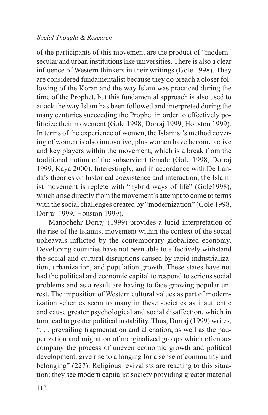of the participants of this movement are the product of "modern" secular and urban institutions like universities. There is also a clear influence of Western thinkers in their writings (Gole 1998). They are considered fundamentalist because they do preach a closer following of the Koran and the way Islam was practiced during the time of the Prophet, but this fundamental approach is also used to attack the way Islam has been followed and interpreted during the many centuries succeeding the Prophet in order to effectively politicize their movement (Gole 1998, Dorraj 1999, Houston 1999). In terms of the experience of women, the Islamist's method covering of women is also innovative, plus women have become active and key players within the movement, which is a break from the traditional notion of the subservient female (Gole 1998, Dorraj 1999, Kaya 2000). Interestingly, and in accordance with De Landa's theories on historical coexistence and interaction, the Islamist movement is replete with "hybrid ways of life" (Gole1998), which arise directly from the movement's attempt to come to terms with the social challenges created by "modernization" (Gole 1998, Dorraj 1999, Houston 1999).

Manochehr Dorraj (1999) provides a lucid interpretation of the rise of the Islamist movement within the context of the social upheavals inflicted by the contemporary globalized economy. Developing countries have not been able to effectively withstand the social and cultural disruptions caused by rapid industrialization, urbanization, and population growth. These states have not had the political and economic capital to respond to serious social problems and as a result are having to face growing popular unrest. The imposition of Western cultural values as part of modernization schemes seem to many in these societies as inauthentic and cause greater psychological and social disaffection, which in turn lead to greater political instability. Thus, Dorraj (1999) writes, ". . . prevailing fragmentation and alienation, as well as the pauperization and migration of marginalized groups which often accompany the process of uneven economic growth and political development, give rise to a longing for a sense of community and belonging" (227). Religious revivalists are reacting to this situation: they see modern capitalist society providing greater material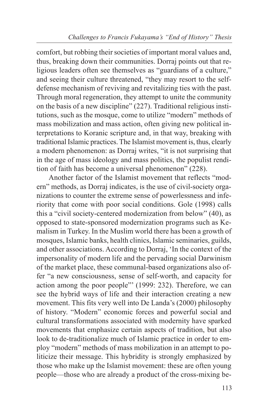comfort, but robbing their societies of important moral values and, thus, breaking down their communities. Dorraj points out that religious leaders often see themselves as "guardians of a culture," and seeing their culture threatened, "they may resort to the selfdefense mechanism of reviving and revitalizing ties with the past. Through moral regeneration, they attempt to unite the community on the basis of a new discipline" (227). Traditional religious institutions, such as the mosque, come to utilize "modern" methods of mass mobilization and mass action, often giving new political interpretations to Koranic scripture and, in that way, breaking with traditional Islamic practices. The Islamist movement is, thus, clearly a modern phenomenon: as Dorraj writes, "it is not surprising that in the age of mass ideology and mass politics, the populist rendition of faith has become a universal phenomenon" (228).

Another factor of the Islamist movement that reflects "modern" methods, as Dorraj indicates, is the use of civil-society organizations to counter the extreme sense of powerlessness and inferiority that come with poor social conditions. Gole (1998) calls this a "civil society-centered modernization from below" (40), as opposed to state-sponsored modernization programs such as Kemalism in Turkey. In the Muslim world there has been a growth of mosques, Islamic banks, health clinics, Islamic seminaries, guilds, and other associations. According to Dorraj, 'In the context of the impersonality of modern life and the pervading social Darwinism of the market place, these communal-based organizations also offer "a new consciousness, sense of self-worth, and capacity for action among the poor people"' (1999: 232). Therefore, we can see the hybrid ways of life and their interaction creating a new movement. This fits very well into De Landa's (2000) philosophy of history. "Modern" economic forces and powerful social and cultural transformations associated with modernity have sparked movements that emphasize certain aspects of tradition, but also look to de-traditionalize much of Islamic practice in order to employ "modern" methods of mass mobilization in an attempt to politicize their message. This hybridity is strongly emphasized by those who make up the Islamist movement: these are often young people—those who are already a product of the cross-mixing be-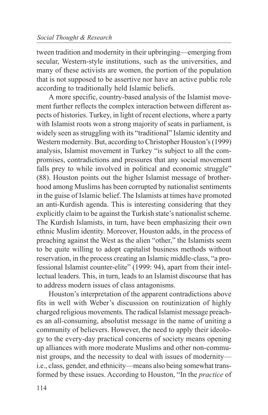tween tradition and modernity in their upbringing—emerging from secular, Western-style institutions, such as the universities, and many of these activists are women, the portion of the population that is not supposed to be assertive nor have an active public role according to traditionally held Islamic beliefs.

A more specific, country-based analysis of the Islamist movement further reflects the complex interaction between different aspects of histories. Turkey, in light of recent elections, where a party with Islamist roots won a strong majority of seats in parliament, is widely seen as struggling with its "traditional" Islamic identity and Western modernity. But, according to Christopher Houston's (1999) analysis, Islamist movement in Turkey "is subject to all the compromises, contradictions and pressures that any social movement falls prey to while involved in political and economic struggle" (88). Houston points out the higher Islamist message of brotherhood among Muslims has been corrupted by nationalist sentiments in the guise of Islamic belief. The Islamists at times have promoted an anti-Kurdish agenda. This is interesting considering that they explicitly claim to be against the Turkish state's nationalist scheme. The Kurdish Islamists, in turn, have been emphasizing their own ethnic Muslim identity. Moreover, Houston adds, in the process of preaching against the West as the alien "other," the Islamists seem to be quite willing to adopt capitalist business methods without reservation, in the process creating an Islamic middle-class, "a professional Islamist counter-elite" (1999: 94), apart from their intellectual leaders. This, in turn, leads to an Islamist discourse that has to address modern issues of class antagonisms.

Houston's interpretation of the apparent contradictions above fits in well with Weber's discussion on routinization of highly charged religious movements. The radical Islamist message preaches an all-consuming, absolutist message in the name of uniting a community of believers. However, the need to apply their ideology to the every-day practical concerns of society means opening up alliances with more moderate Muslims and other non-communist groups, and the necessity to deal with issues of modernity i.e., class, gender, and ethnicity—means also being somewhat transformed by these issues. According to Houston, "In the *practice* of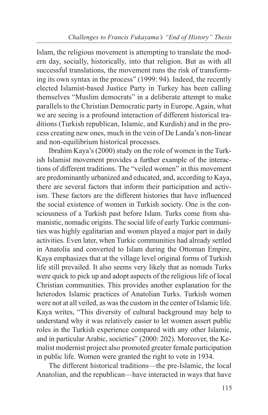Islam, the religious movement is attempting to translate the modern day, socially, historically, into that religion. But as with all successful translations, the movement runs the risk of transforming its own syntax in the process" (1999: 94). Indeed, the recently elected Islamist-based Justice Party in Turkey has been calling themselves "Muslim democrats" in a deliberate attempt to make parallels to the Christian Democratic party in Europe. Again, what we are seeing is a profound interaction of different historical traditions (Turkish republican, Islamic, and Kurdish) and in the process creating new ones, much in the vein of De Landa's non-linear and non-equilibrium historical processes.

Ibrahim Kaya's (2000) study on the role of women in the Turkish Islamist movement provides a further example of the interactions of different traditions. The "veiled women" in this movement are predominantly urbanized and educated, and, according to Kaya, there are several factors that inform their participation and activism. These factors are the different histories that have influenced the social existence of women in Turkish society. One is the consciousness of a Turkish past before Islam. Turks come from shamanistic, nomadic origins. The social life of early Turkic communities was highly egalitarian and women played a major part in daily activities. Even later, when Turkic communities had already settled in Anatolia and converted to Islam during the Ottoman Empire, Kaya emphasizes that at the village level original forms of Turkish life still prevailed. It also seems very likely that as nomads Turks were quick to pick up and adopt aspects of the religious life of local Christian communities. This provides another explanation for the heterodox Islamic practices of Anatolian Turks. Turkish women were not at all veiled, as was the custom in the center of Islamic life. Kaya writes, "This diversity of cultural background may help to understand why it was relatively easier to let women assert public roles in the Turkish experience compared with any other Islamic, and in particular Arabic, societies" (2000: 202). Moreover, the Kemalist modernist project also promoted greater female participation in public life. Women were granted the right to vote in 1934.

The different historical traditions—the pre-Islamic, the local Anatolian, and the republican—have interacted in ways that have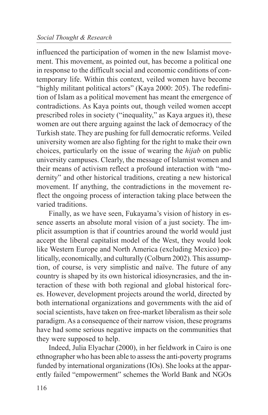influenced the participation of women in the new Islamist movement. This movement, as pointed out, has become a political one in response to the difficult social and economic conditions of contemporary life. Within this context, veiled women have become "highly militant political actors" (Kaya 2000: 205). The redefinition of Islam as a political movement has meant the emergence of contradictions. As Kaya points out, though veiled women accept prescribed roles in society ("inequality," as Kaya argues it), these women are out there arguing against the lack of democracy of the Turkish state. They are pushing for full democratic reforms. Veiled university women are also fighting for the right to make their own choices, particularly on the issue of wearing the *hijab* on public university campuses. Clearly, the message of Islamist women and their means of activism reflect a profound interaction with "modernity" and other historical traditions, creating a new historical movement. If anything, the contradictions in the movement reflect the ongoing process of interaction taking place between the varied traditions.

Finally, as we have seen, Fukayama's vision of history in essence asserts an absolute moral vision of a just society. The implicit assumption is that if countries around the world would just accept the liberal capitalist model of the West, they would look like Western Europe and North America (excluding Mexico) politically, economically, and culturally (Colburn 2002). This assumption, of course, is very simplistic and naïve. The future of any country is shaped by its own historical idiosyncrasies, and the interaction of these with both regional and global historical forces. However, development projects around the world, directed by both international organizations and governments with the aid of social scientists, have taken on free-market liberalism as their sole paradigm. As a consequence of their narrow vision, these programs have had some serious negative impacts on the communities that they were supposed to help.

Indeed, Julia Elyachar (2000), in her fieldwork in Cairo is one ethnographer who has been able to assess the anti-poverty programs funded by international organizations (IOs). She looks at the apparently failed "empowerment" schemes the World Bank and NGOs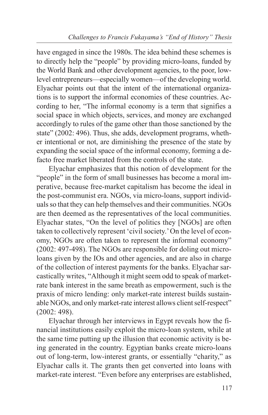have engaged in since the 1980s. The idea behind these schemes is to directly help the "people" by providing micro-loans, funded by the World Bank and other development agencies, to the poor, lowlevel entrepreneurs—especially women—of the developing world. Elyachar points out that the intent of the international organizations is to support the informal economies of these countries. According to her, "The informal economy is a term that signifies a social space in which objects, services, and money are exchanged accordingly to rules of the game other than those sanctioned by the state" (2002: 496). Thus, she adds, development programs, whether intentional or not, are diminishing the presence of the state by expanding the social space of the informal economy, forming a defacto free market liberated from the controls of the state.

Elyachar emphasizes that this notion of development for the "people" in the form of small businesses has become a moral imperative, because free-market capitalism has become the ideal in the post-communist era. NGOs, via micro-loans, support individuals so that they can help themselves and their communities. NGOs are then deemed as the representatives of the local communities. Elyachar states, "On the level of politics they [NGOs] are often taken to collectively represent 'civil society.' On the level of economy, NGOs are often taken to represent the informal economy" (2002: 497-498). The NGOs are responsible for doling out microloans given by the IOs and other agencies, and are also in charge of the collection of interest payments for the banks. Elyachar sarcastically writes, "Although it might seem odd to speak of marketrate bank interest in the same breath as empowerment, such is the praxis of micro lending: only market-rate interest builds sustainable NGOs, and only market-rate interest allows client self-respect" (2002: 498).

Elyachar through her interviews in Egypt reveals how the financial institutions easily exploit the micro-loan system, while at the same time putting up the illusion that economic activity is being generated in the country. Egyptian banks create micro-loans out of long-term, low-interest grants, or essentially "charity," as Elyachar calls it. The grants then get converted into loans with market-rate interest. "Even before any enterprises are established,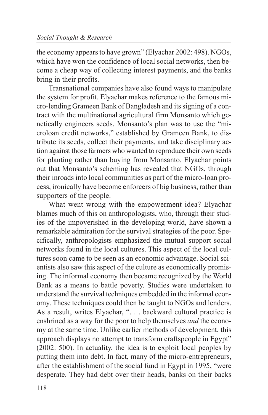the economy appears to have grown" (Elyachar 2002: 498). NGOs, which have won the confidence of local social networks, then become a cheap way of collecting interest payments, and the banks bring in their profits.

Transnational companies have also found ways to manipulate the system for profit. Elyachar makes reference to the famous micro-lending Grameen Bank of Bangladesh and its signing of a contract with the multinational agricultural firm Monsanto which genetically engineers seeds. Monsanto's plan was to use the "microloan credit networks," established by Grameen Bank, to distribute its seeds, collect their payments, and take disciplinary action against those farmers who wanted to reproduce their own seeds for planting rather than buying from Monsanto. Elyachar points out that Monsanto's scheming has revealed that NGOs, through their inroads into local communities as part of the micro-loan process, ironically have become enforcers of big business, rather than supporters of the people.

What went wrong with the empowerment idea? Elyachar blames much of this on anthropologists, who, through their studies of the impoverished in the developing world, have shown a remarkable admiration for the survival strategies of the poor. Specifically, anthropologists emphasized the mutual support social networks found in the local cultures. This aspect of the local cultures soon came to be seen as an economic advantage. Social scientists also saw this aspect of the culture as economically promising. The informal economy then became recognized by the World Bank as a means to battle poverty. Studies were undertaken to understand the survival techniques embedded in the informal economy. These techniques could then be taught to NGOs and lenders. As a result, writes Elyachar, ". . . backward cultural practice is enshrined as a way for the poor to help themselves *and* the economy at the same time. Unlike earlier methods of development, this approach displays no attempt to transform craftspeople in Egypt" (2002: 500). In actuality, the idea is to exploit local peoples by putting them into debt. In fact, many of the micro-entrepreneurs, after the establishment of the social fund in Egypt in 1995, "were desperate. They had debt over their heads, banks on their backs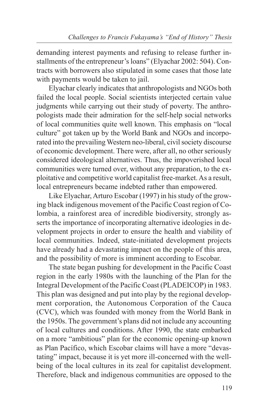demanding interest payments and refusing to release further installments of the entrepreneur's loans" (Elyachar 2002: 504). Contracts with borrowers also stipulated in some cases that those late with payments would be taken to jail.

Elyachar clearly indicates that anthropologists and NGOs both failed the local people. Social scientists interjected certain value judgments while carrying out their study of poverty. The anthropologists made their admiration for the self-help social networks of local communities quite well known. This emphasis on "local culture" got taken up by the World Bank and NGOs and incorporated into the prevailing Western neo-liberal, civil society discourse of economic development. There were, after all, no other seriously considered ideological alternatives. Thus, the impoverished local communities were turned over, without any preparation, to the exploitative and competitive world capitalist free-market. As a result, local entrepreneurs became indebted rather than empowered.

Like Elyachar, Arturo Escobar (1997) in his study of the growing black indigenous movement of the Pacific Coast region of Colombia, a rainforest area of incredible biodiversity, strongly asserts the importance of incorporating alternative ideologies in development projects in order to ensure the health and viability of local communities. Indeed, state-initiated development projects have already had a devastating impact on the people of this area, and the possibility of more is imminent according to Escobar.

The state began pushing for development in the Pacific Coast region in the early 1980s with the launching of the Plan for the Integral Development of the Pacific Coast (PLADEICOP) in 1983. This plan was designed and put into play by the regional development corporation, the Autonomous Corporation of the Cauca (CVC), which was founded with money from the World Bank in the 1950s. The government's plans did not include any accounting of local cultures and conditions. After 1990, the state embarked on a more "ambitious" plan for the economic opening-up known as Plan Pacífico, which Escobar claims will have a more "devastating" impact, because it is yet more ill-concerned with the wellbeing of the local cultures in its zeal for capitalist development. Therefore, black and indigenous communities are opposed to the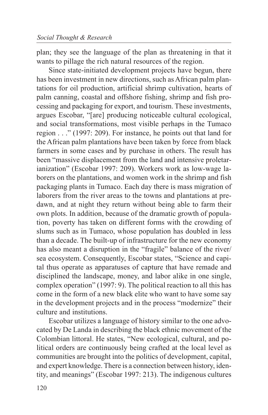plan; they see the language of the plan as threatening in that it wants to pillage the rich natural resources of the region.

Since state-initiated development projects have begun, there has been investment in new directions, such as African palm plantations for oil production, artificial shrimp cultivation, hearts of palm canning, coastal and offshore fishing, shrimp and fish processing and packaging for export, and tourism. These investments, argues Escobar, "[are] producing noticeable cultural ecological, and social transformations, most visible perhaps in the Tumaco region . . ." (1997: 209). For instance, he points out that land for the African palm plantations have been taken by force from black farmers in some cases and by purchase in others. The result has been "massive displacement from the land and intensive proletarianization" (Escobar 1997: 209). Workers work as low-wage laborers on the plantations, and women work in the shrimp and fish packaging plants in Tumaco. Each day there is mass migration of laborers from the river areas to the towns and plantations at predawn, and at night they return without being able to farm their own plots. In addition, because of the dramatic growth of population, poverty has taken on different forms with the crowding of slums such as in Tumaco, whose population has doubled in less than a decade. The built-up of infrastructure for the new economy has also meant a disruption in the "fragile" balance of the river/ sea ecosystem. Consequently, Escobar states, "Science and capital thus operate as apparatuses of capture that have remade and disciplined the landscape, money, and labor alike in one single, complex operation" (1997: 9). The political reaction to all this has come in the form of a new black elite who want to have some say in the development projects and in the process "modernize" their culture and institutions.

Escobar utilizes a language of history similar to the one advocated by De Landa in describing the black ethnic movement of the Colombian littoral. He states, "New ecological, cultural, and political orders are continuously being crafted at the local level as communities are brought into the politics of development, capital, and expert knowledge. There is a connection between history, identity, and meanings" (Escobar 1997: 213). The indigenous cultures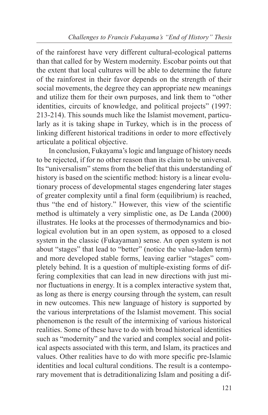of the rainforest have very different cultural-ecological patterns than that called for by Western modernity. Escobar points out that the extent that local cultures will be able to determine the future of the rainforest in their favor depends on the strength of their social movements, the degree they can appropriate new meanings and utilize them for their own purposes, and link them to "other identities, circuits of knowledge, and political projects" (1997: 213-214). This sounds much like the Islamist movement, particularly as it is taking shape in Turkey, which is in the process of linking different historical traditions in order to more effectively articulate a political objective.

In conclusion, Fukayama's logic and language of history needs to be rejected, if for no other reason than its claim to be universal. Its "universalism" stems from the belief that this understanding of history is based on the scientific method: history is a linear evolutionary process of developmental stages engendering later stages of greater complexity until a final form (equilibrium) is reached, thus "the end of history." However, this view of the scientific method is ultimately a very simplistic one, as De Landa (2000) illustrates. He looks at the processes of thermodynamics and biological evolution but in an open system, as opposed to a closed system in the classic (Fukayaman) sense. An open system is not about "stages" that lead to "better" (notice the value-laden term) and more developed stable forms, leaving earlier "stages" completely behind. It is a question of multiple-existing forms of differing complexities that can lead in new directions with just minor fluctuations in energy. It is a complex interactive system that, as long as there is energy coursing through the system, can result in new outcomes. This new language of history is supported by the various interpretations of the Islamist movement. This social phenomenon is the result of the intermixing of various historical realities. Some of these have to do with broad historical identities such as "modernity" and the varied and complex social and political aspects associated with this term, and Islam, its practices and values. Other realities have to do with more specific pre-Islamic identities and local cultural conditions. The result is a contemporary movement that is detraditionalizing Islam and positing a dif-